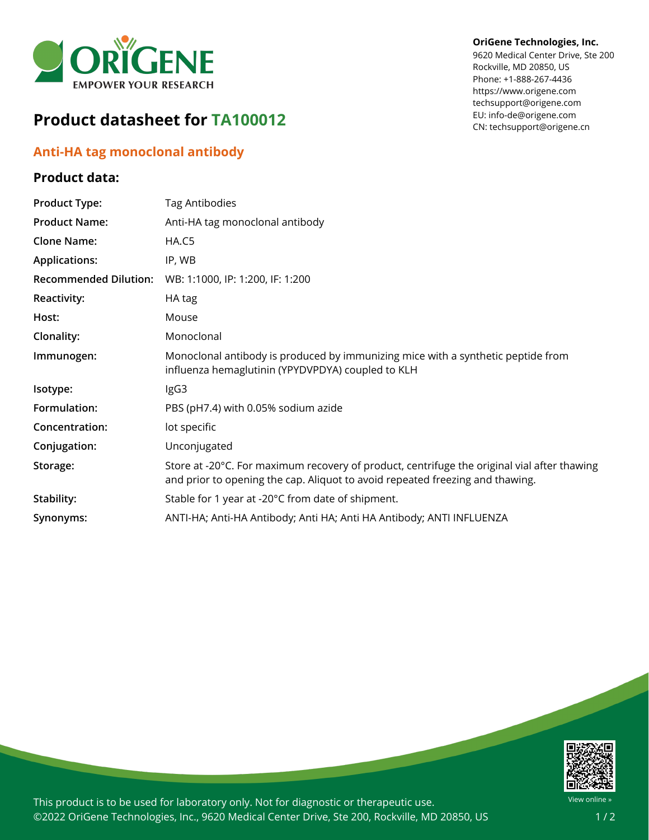

## **Product datasheet for TA100012**

## **Anti-HA tag monoclonal antibody**

## **Product data:**

**OriGene Technologies, Inc.**

9620 Medical Center Drive, Ste 200 Rockville, MD 20850, US Phone: +1-888-267-4436 https://www.origene.com techsupport@origene.com EU: info-de@origene.com CN: techsupport@origene.cn

| <b>Product Type:</b>         | <b>Tag Antibodies</b>                                                                                                                                                        |
|------------------------------|------------------------------------------------------------------------------------------------------------------------------------------------------------------------------|
| <b>Product Name:</b>         | Anti-HA tag monoclonal antibody                                                                                                                                              |
| <b>Clone Name:</b>           | HA.C5                                                                                                                                                                        |
| <b>Applications:</b>         | IP, WB                                                                                                                                                                       |
| <b>Recommended Dilution:</b> | WB: 1:1000, IP: 1:200, IF: 1:200                                                                                                                                             |
| Reactivity:                  | HA tag                                                                                                                                                                       |
| Host:                        | Mouse                                                                                                                                                                        |
| Clonality:                   | Monoclonal                                                                                                                                                                   |
| Immunogen:                   | Monoclonal antibody is produced by immunizing mice with a synthetic peptide from<br>influenza hemaglutinin (YPYDVPDYA) coupled to KLH                                        |
| Isotype:                     | IgG3                                                                                                                                                                         |
| Formulation:                 | PBS (pH7.4) with 0.05% sodium azide                                                                                                                                          |
| Concentration:               | lot specific                                                                                                                                                                 |
| Conjugation:                 | Unconjugated                                                                                                                                                                 |
| Storage:                     | Store at -20°C. For maximum recovery of product, centrifuge the original vial after thawing<br>and prior to opening the cap. Aliquot to avoid repeated freezing and thawing. |
| Stability:                   | Stable for 1 year at -20°C from date of shipment.                                                                                                                            |
| Synonyms:                    | ANTI-HA; Anti-HA Antibody; Anti HA; Anti HA Antibody; ANTI INFLUENZA                                                                                                         |



This product is to be used for laboratory only. Not for diagnostic or therapeutic use. ©2022 OriGene Technologies, Inc., 9620 Medical Center Drive, Ste 200, Rockville, MD 20850, US